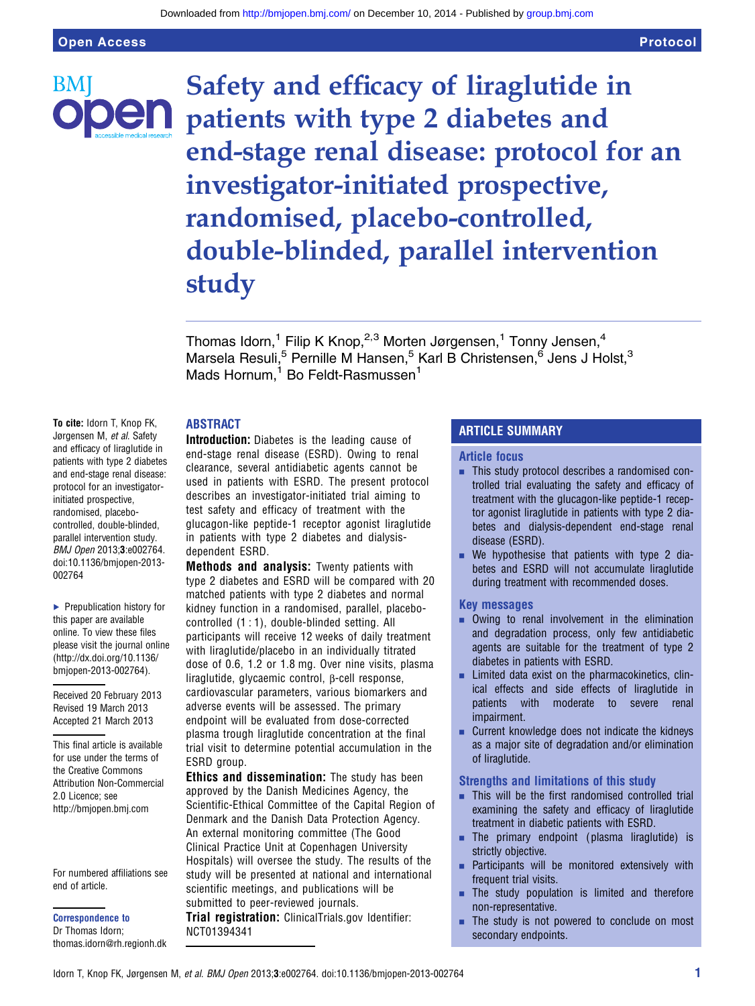### Open Access Protocol



Safety and efficacy of liraglutide in **PM** patients with type 2 diabetes and end-stage renal disease: protocol for an investigator-initiated prospective, randomised, placebo-controlled, double-blinded, parallel intervention study

> Thomas Idorn,<sup>1</sup> Filip K Knop,<sup>2,3</sup> Morten Jørgensen,<sup>1</sup> Tonny Jensen,<sup>4</sup> Marsela Resuli,<sup>5</sup> Pernille M Hansen,<sup>5</sup> Karl B Christensen,<sup>6</sup> Jens J Holst,<sup>3</sup> Mads Hornum,<sup>1</sup> Bo Feldt-Rasmussen<sup>1</sup>

### ABSTRACT

To cite: Idorn T, Knop FK, Jørgensen M, et al. Safety and efficacy of liraglutide in patients with type 2 diabetes and end-stage renal disease: protocol for an investigatorinitiated prospective, randomised, placebocontrolled, double-blinded, parallel intervention study. BMJ Open 2013;3:e002764. doi:10.1136/bmjopen-2013- 002764

▶ Prepublication history for this paper are available online. To view these files please visit the journal online [\(http://dx.doi.org/10.1136/](http://dx.doi.org/10.1136/bmjopen-2013-002764) [bmjopen-2013-002764](http://dx.doi.org/10.1136/bmjopen-2013-002764)).

Received 20 February 2013 Revised 19 March 2013 Accepted 21 March 2013

This final article is available for use under the terms of the Creative Commons Attribution Non-Commercial 2.0 Licence; see <http://bmjopen.bmj.com>

For numbered affiliations see end of article.

Correspondence to Dr Thomas Idorn; thomas.idorn@rh.regionh.dk Introduction: Diabetes is the leading cause of end-stage renal disease (ESRD). Owing to renal clearance, several antidiabetic agents cannot be

used in patients with ESRD. The present protocol describes an investigator-initiated trial aiming to test safety and efficacy of treatment with the glucagon-like peptide-1 receptor agonist liraglutide in patients with type 2 diabetes and dialysisdependent ESRD.

**Methods and analysis:** Twenty patients with type 2 diabetes and ESRD will be compared with 20 matched patients with type 2 diabetes and normal kidney function in a randomised, parallel, placebocontrolled (1 : 1), double-blinded setting. All participants will receive 12 weeks of daily treatment with liraglutide/placebo in an individually titrated dose of 0.6, 1.2 or 1.8 mg. Over nine visits, plasma liraglutide, glycaemic control, β-cell response, cardiovascular parameters, various biomarkers and adverse events will be assessed. The primary endpoint will be evaluated from dose-corrected plasma trough liraglutide concentration at the final trial visit to determine potential accumulation in the ESRD group.

**Ethics and dissemination:** The study has been approved by the Danish Medicines Agency, the Scientific-Ethical Committee of the Capital Region of Denmark and the Danish Data Protection Agency. An external monitoring committee (The Good Clinical Practice Unit at Copenhagen University Hospitals) will oversee the study. The results of the study will be presented at national and international scientific meetings, and publications will be submitted to peer-reviewed journals.

Trial registration: ClinicalTrials.gov Identifier: NCT01394341

# ARTICLE SUMMARY

#### Article focus

- **This study protocol describes a randomised con**trolled trial evaluating the safety and efficacy of treatment with the glucagon-like peptide-1 receptor agonist liraglutide in patients with type 2 diabetes and dialysis-dependent end-stage renal disease (ESRD).
- **We hypothesise that patients with type 2 dia**betes and ESRD will not accumulate liraglutide during treatment with recommended doses.

### Key messages

- $\blacksquare$  Owing to renal involvement in the elimination and degradation process, only few antidiabetic agents are suitable for the treatment of type 2 diabetes in patients with ESRD.
- $\blacksquare$  Limited data exist on the pharmacokinetics, clinical effects and side effects of liraglutide in patients with moderate to severe renal impairment.
- $\blacksquare$  Current knowledge does not indicate the kidneys as a major site of degradation and/or elimination of liraglutide.

### Strengths and limitations of this study

- $\blacksquare$  This will be the first randomised controlled trial examining the safety and efficacy of liraglutide treatment in diabetic patients with ESRD.
- $\blacksquare$  The primary endpoint (plasma liraglutide) is strictly objective.
- Participants will be monitored extensively with frequent trial visits.
- $\blacksquare$  The study population is limited and therefore non-representative.
- The study is not powered to conclude on most secondary endpoints.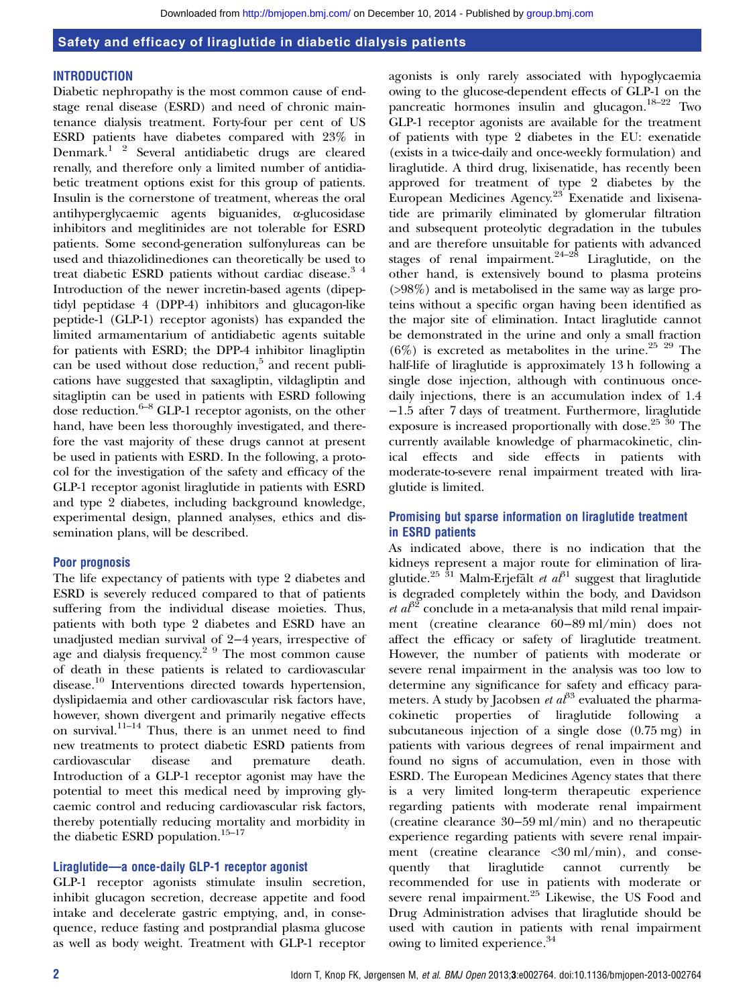### **INTRODUCTION**

Diabetic nephropathy is the most common cause of endstage renal disease (ESRD) and need of chronic maintenance dialysis treatment. Forty-four per cent of US ESRD patients have diabetes compared with 23% in Denmark.1 2 Several antidiabetic drugs are cleared renally, and therefore only a limited number of antidiabetic treatment options exist for this group of patients. Insulin is the cornerstone of treatment, whereas the oral antihyperglycaemic agents biguanides, α-glucosidase inhibitors and meglitinides are not tolerable for ESRD patients. Some second-generation sulfonylureas can be used and thiazolidinediones can theoretically be used to treat diabetic ESRD patients without cardiac disease.<sup>3</sup><sup>4</sup> Introduction of the newer incretin-based agents (dipeptidyl peptidase 4 (DPP-4) inhibitors and glucagon-like peptide-1 (GLP-1) receptor agonists) has expanded the limited armamentarium of antidiabetic agents suitable for patients with ESRD; the DPP-4 inhibitor linagliptin can be used without dose reduction, $5$  and recent publications have suggested that saxagliptin, vildagliptin and sitagliptin can be used in patients with ESRD following dose reduction. $6-8$  GLP-1 receptor agonists, on the other

hand, have been less thoroughly investigated, and therefore the vast majority of these drugs cannot at present be used in patients with ESRD. In the following, a protocol for the investigation of the safety and efficacy of the GLP-1 receptor agonist liraglutide in patients with ESRD and type 2 diabetes, including background knowledge, experimental design, planned analyses, ethics and dissemination plans, will be described.

### Poor prognosis

The life expectancy of patients with type 2 diabetes and ESRD is severely reduced compared to that of patients suffering from the individual disease moieties. Thus, patients with both type 2 diabetes and ESRD have an unadjusted median survival of 2−4 years, irrespective of age and dialysis frequency.<sup>2 9</sup> The most common cause of death in these patients is related to cardiovascular disease.<sup>10</sup> Interventions directed towards hypertension, dyslipidaemia and other cardiovascular risk factors have, however, shown divergent and primarily negative effects on survival. $11-14$  Thus, there is an unmet need to find new treatments to protect diabetic ESRD patients from cardiovascular disease and premature death. Introduction of a GLP-1 receptor agonist may have the potential to meet this medical need by improving glycaemic control and reducing cardiovascular risk factors, thereby potentially reducing mortality and morbidity in the diabetic ESRD population. $15-17$ 

### Liraglutide—a once-daily GLP-1 receptor agonist

GLP-1 receptor agonists stimulate insulin secretion, inhibit glucagon secretion, decrease appetite and food intake and decelerate gastric emptying, and, in consequence, reduce fasting and postprandial plasma glucose as well as body weight. Treatment with GLP-1 receptor

agonists is only rarely associated with hypoglycaemia owing to the glucose-dependent effects of GLP-1 on the pancreatic hormones insulin and glucagon.18–<sup>22</sup> Two GLP-1 receptor agonists are available for the treatment of patients with type 2 diabetes in the EU: exenatide (exists in a twice-daily and once-weekly formulation) and liraglutide. A third drug, lixisenatide, has recently been approved for treatment of type 2 diabetes by the European Medicines Agency.23 Exenatide and lixisenatide are primarily eliminated by glomerular filtration and subsequent proteolytic degradation in the tubules and are therefore unsuitable for patients with advanced stages of renal impairment. $24-28$  Liraglutide, on the other hand, is extensively bound to plasma proteins (>98%) and is metabolised in the same way as large proteins without a specific organ having been identified as the major site of elimination. Intact liraglutide cannot be demonstrated in the urine and only a small fraction (6%) is excreted as metabolites in the urine.<sup>25</sup> <sup>29</sup> The half-life of liraglutide is approximately 13 h following a single dose injection, although with continuous oncedaily injections, there is an accumulation index of 1.4 −1.5 after 7 days of treatment. Furthermore, liraglutide exposure is increased proportionally with dose.25 30 The currently available knowledge of pharmacokinetic, clinical effects and side effects in patients with moderate-to-severe renal impairment treated with liraglutide is limited.

### Promising but sparse information on liraglutide treatment in ESRD patients

As indicated above, there is no indication that the kidneys represent a major route for elimination of liraglutide.<sup>25 31</sup> Malm-Erjefält et  $a\ell^3$ <sup>31</sup> suggest that liraglutide is degraded completely within the body, and Davidson *et al*<sup>32</sup> conclude in a meta-analysis that mild renal impairment (creatine clearance 60−89 ml/min) does not affect the efficacy or safety of liraglutide treatment. However, the number of patients with moderate or severe renal impairment in the analysis was too low to determine any significance for safety and efficacy parameters. A study by Jacobsen et  $a\tilde{t}^{33}$  evaluated the pharmacokinetic properties of liraglutide following a subcutaneous injection of a single dose (0.75 mg) in patients with various degrees of renal impairment and found no signs of accumulation, even in those with ESRD. The European Medicines Agency states that there is a very limited long-term therapeutic experience regarding patients with moderate renal impairment (creatine clearance 30−59 ml/min) and no therapeutic experience regarding patients with severe renal impairment (creatine clearance <30 ml/min), and consequently that liraglutide cannot currently be recommended for use in patients with moderate or severe renal impairment.<sup>25</sup> Likewise, the US Food and Drug Administration advises that liraglutide should be used with caution in patients with renal impairment owing to limited experience.<sup>34</sup>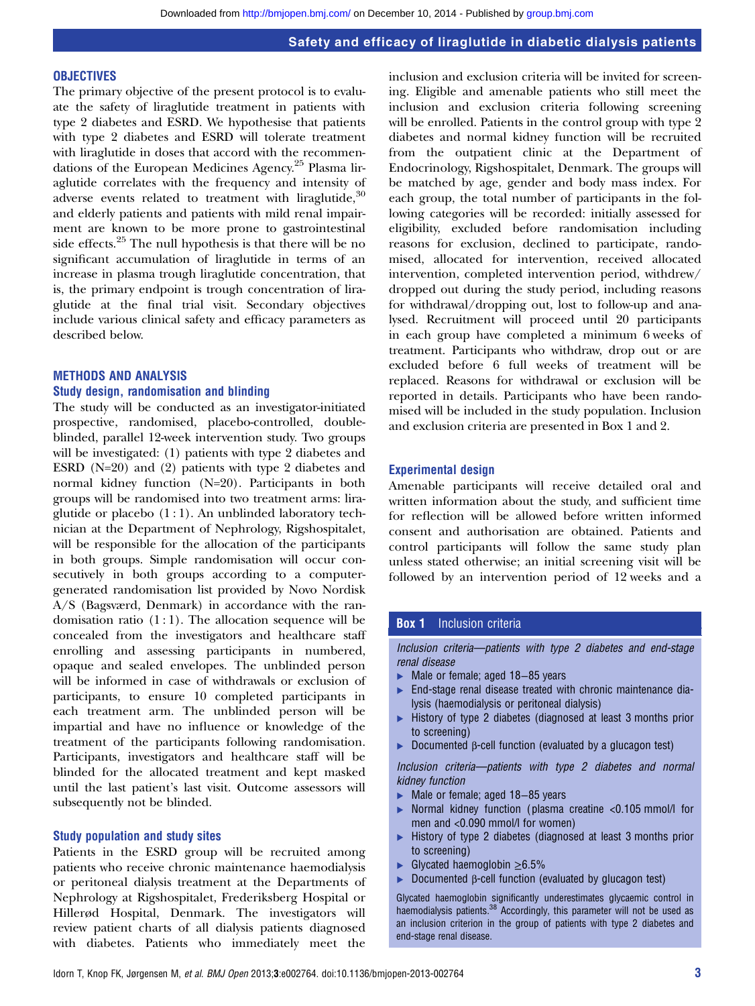### **OBJECTIVES**

The primary objective of the present protocol is to evaluate the safety of liraglutide treatment in patients with type 2 diabetes and ESRD. We hypothesise that patients with type 2 diabetes and ESRD will tolerate treatment with liraglutide in doses that accord with the recommendations of the European Medicines Agency.25 Plasma liraglutide correlates with the frequency and intensity of adverse events related to treatment with liraglutide, $30$ and elderly patients and patients with mild renal impairment are known to be more prone to gastrointestinal side effects.<sup>25</sup> The null hypothesis is that there will be no significant accumulation of liraglutide in terms of an increase in plasma trough liraglutide concentration, that is, the primary endpoint is trough concentration of liraglutide at the final trial visit. Secondary objectives include various clinical safety and efficacy parameters as described below.

## METHODS AND ANALYSIS

### Study design, randomisation and blinding

The study will be conducted as an investigator-initiated prospective, randomised, placebo-controlled, doubleblinded, parallel 12-week intervention study. Two groups will be investigated: (1) patients with type 2 diabetes and ESRD (N=20) and (2) patients with type 2 diabetes and normal kidney function (N=20). Participants in both groups will be randomised into two treatment arms: liraglutide or placebo  $(1:1)$ . An unblinded laboratory technician at the Department of Nephrology, Rigshospitalet, will be responsible for the allocation of the participants in both groups. Simple randomisation will occur consecutively in both groups according to a computergenerated randomisation list provided by Novo Nordisk A/S (Bagsværd, Denmark) in accordance with the randomisation ratio  $(1:1)$ . The allocation sequence will be concealed from the investigators and healthcare staff enrolling and assessing participants in numbered, opaque and sealed envelopes. The unblinded person will be informed in case of withdrawals or exclusion of participants, to ensure 10 completed participants in each treatment arm. The unblinded person will be impartial and have no influence or knowledge of the treatment of the participants following randomisation. Participants, investigators and healthcare staff will be blinded for the allocated treatment and kept masked until the last patient's last visit. Outcome assessors will subsequently not be blinded.

#### Study population and study sites

Patients in the ESRD group will be recruited among patients who receive chronic maintenance haemodialysis or peritoneal dialysis treatment at the Departments of Nephrology at Rigshospitalet, Frederiksberg Hospital or Hillerød Hospital, Denmark. The investigators will review patient charts of all dialysis patients diagnosed with diabetes. Patients who immediately meet the inclusion and exclusion criteria will be invited for screening. Eligible and amenable patients who still meet the inclusion and exclusion criteria following screening will be enrolled. Patients in the control group with type 2 diabetes and normal kidney function will be recruited from the outpatient clinic at the Department of Endocrinology, Rigshospitalet, Denmark. The groups will be matched by age, gender and body mass index. For each group, the total number of participants in the following categories will be recorded: initially assessed for eligibility, excluded before randomisation including reasons for exclusion, declined to participate, randomised, allocated for intervention, received allocated intervention, completed intervention period, withdrew/ dropped out during the study period, including reasons for withdrawal/dropping out, lost to follow-up and analysed. Recruitment will proceed until 20 participants in each group have completed a minimum 6 weeks of treatment. Participants who withdraw, drop out or are excluded before 6 full weeks of treatment will be replaced. Reasons for withdrawal or exclusion will be reported in details. Participants who have been randomised will be included in the study population. Inclusion and exclusion criteria are presented in Box 1 and 2.

#### Experimental design

Amenable participants will receive detailed oral and written information about the study, and sufficient time for reflection will be allowed before written informed consent and authorisation are obtained. Patients and control participants will follow the same study plan unless stated otherwise; an initial screening visit will be followed by an intervention period of 12 weeks and a

### **Box 1** Inclusion criteria

Inclusion criteria—patients with type 2 diabetes and end-stage renal disease

- ▸ Male or female; aged 18−85 years
- ▸ End-stage renal disease treated with chronic maintenance dialysis (haemodialysis or peritoneal dialysis)
- ▸ History of type 2 diabetes (diagnosed at least 3 months prior to screening)
- ▸ Documented β-cell function (evaluated by a glucagon test)

Inclusion criteria—patients with type 2 diabetes and normal kidney function

- Male or female; aged 18–85 years
- ▸ Normal kidney function ( plasma creatine <0.105 mmol/l for men and <0.090 mmol/l for women)
- ▸ History of type 2 diabetes (diagnosed at least 3 months prior to screening)
- ▸ Glycated haemoglobin ≥6.5%
- ▸ Documented β-cell function (evaluated by glucagon test)

Glycated haemoglobin significantly underestimates glycaemic control in haemodialysis patients.<sup>38</sup> Accordingly, this parameter will not be used as an inclusion criterion in the group of patients with type 2 diabetes and end-stage renal disease.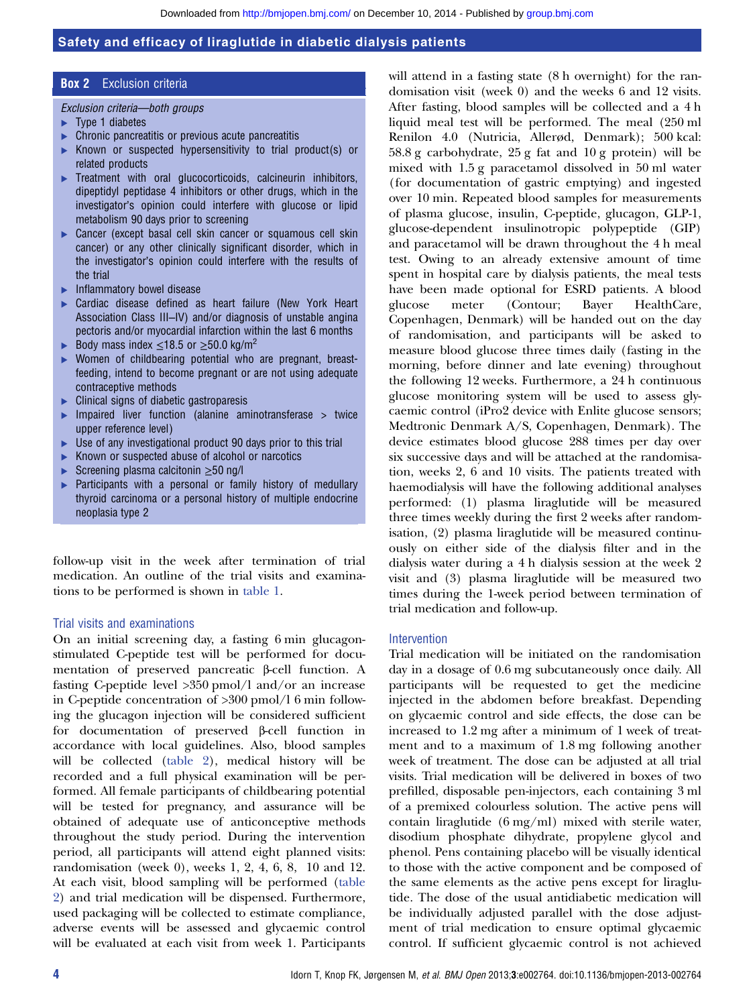## **Box 2** Exclusion criteria

Exclusion criteria—both groups

- ▸ Type 1 diabetes
- ▸ Chronic pancreatitis or previous acute pancreatitis
- ▸ Known or suspected hypersensitivity to trial product(s) or related products
- ▶ Treatment with oral glucocorticoids, calcineurin inhibitors, dipeptidyl peptidase 4 inhibitors or other drugs, which in the investigator's opinion could interfere with glucose or lipid metabolism 90 days prior to screening
- ▶ Cancer (except basal cell skin cancer or squamous cell skin cancer) or any other clinically significant disorder, which in the investigator's opinion could interfere with the results of the trial
- ▸ Inflammatory bowel disease
- ▸ Cardiac disease defined as heart failure (New York Heart Association Class III–IV) and/or diagnosis of unstable angina pectoris and/or myocardial infarction within the last 6 months
- ► Body mass index  $\le$ 18.5 or  $>$ 50.0 kg/m<sup>2</sup>
- ▸ Women of childbearing potential who are pregnant, breastfeeding, intend to become pregnant or are not using adequate contraceptive methods
- ▸ Clinical signs of diabetic gastroparesis
- ▸ Impaired liver function (alanine aminotransferase > twice upper reference level)
- ▶ Use of any investigational product 90 days prior to this trial
- ▸ Known or suspected abuse of alcohol or narcotics
- ▸ Screening plasma calcitonin ≥50 ng/l
- Participants with a personal or family history of medullary thyroid carcinoma or a personal history of multiple endocrine neoplasia type 2

follow-up visit in the week after termination of trial medication. An outline of the trial visits and examinations to be performed is shown in table 1.

### Trial visits and examinations

On an initial screening day, a fasting 6 min glucagonstimulated C-peptide test will be performed for documentation of preserved pancreatic β-cell function. A fasting C-peptide level >350 pmol/l and/or an increase in C-peptide concentration of >300 pmol/l 6 min following the glucagon injection will be considered sufficient for documentation of preserved β-cell function in accordance with local guidelines. Also, blood samples will be collected (table 2), medical history will be recorded and a full physical examination will be performed. All female participants of childbearing potential will be tested for pregnancy, and assurance will be obtained of adequate use of anticonceptive methods throughout the study period. During the intervention period, all participants will attend eight planned visits: randomisation (week 0), weeks 1, 2, 4, 6, 8, 10 and 12. At each visit, blood sampling will be performed (table 2) and trial medication will be dispensed. Furthermore, used packaging will be collected to estimate compliance, adverse events will be assessed and glycaemic control will be evaluated at each visit from week 1. Participants will attend in a fasting state (8 h overnight) for the randomisation visit (week 0) and the weeks 6 and 12 visits. After fasting, blood samples will be collected and a 4 h liquid meal test will be performed. The meal (250 ml Renilon 4.0 (Nutricia, Allerød, Denmark); 500 kcal: 58.8 g carbohydrate, 25 g fat and 10 g protein) will be mixed with 1.5 g paracetamol dissolved in 50 ml water ( for documentation of gastric emptying) and ingested over 10 min. Repeated blood samples for measurements of plasma glucose, insulin, C-peptide, glucagon, GLP-1, glucose-dependent insulinotropic polypeptide (GIP) and paracetamol will be drawn throughout the 4 h meal test. Owing to an already extensive amount of time spent in hospital care by dialysis patients, the meal tests have been made optional for ESRD patients. A blood glucose meter (Contour; Bayer HealthCare, Copenhagen, Denmark) will be handed out on the day of randomisation, and participants will be asked to measure blood glucose three times daily (fasting in the morning, before dinner and late evening) throughout the following 12 weeks. Furthermore, a 24 h continuous glucose monitoring system will be used to assess glycaemic control (iPro2 device with Enlite glucose sensors; Medtronic Denmark A/S, Copenhagen, Denmark). The device estimates blood glucose 288 times per day over six successive days and will be attached at the randomisation, weeks 2, 6 and 10 visits. The patients treated with haemodialysis will have the following additional analyses performed: (1) plasma liraglutide will be measured three times weekly during the first 2 weeks after randomisation, (2) plasma liraglutide will be measured continuously on either side of the dialysis filter and in the dialysis water during a 4 h dialysis session at the week 2 visit and (3) plasma liraglutide will be measured two times during the 1-week period between termination of trial medication and follow-up.

### Intervention

Trial medication will be initiated on the randomisation day in a dosage of 0.6 mg subcutaneously once daily. All participants will be requested to get the medicine injected in the abdomen before breakfast. Depending on glycaemic control and side effects, the dose can be increased to 1.2 mg after a minimum of 1 week of treatment and to a maximum of 1.8 mg following another week of treatment. The dose can be adjusted at all trial visits. Trial medication will be delivered in boxes of two prefilled, disposable pen-injectors, each containing 3 ml of a premixed colourless solution. The active pens will contain liraglutide (6 mg/ml) mixed with sterile water, disodium phosphate dihydrate, propylene glycol and phenol. Pens containing placebo will be visually identical to those with the active component and be composed of the same elements as the active pens except for liraglutide. The dose of the usual antidiabetic medication will be individually adjusted parallel with the dose adjustment of trial medication to ensure optimal glycaemic control. If sufficient glycaemic control is not achieved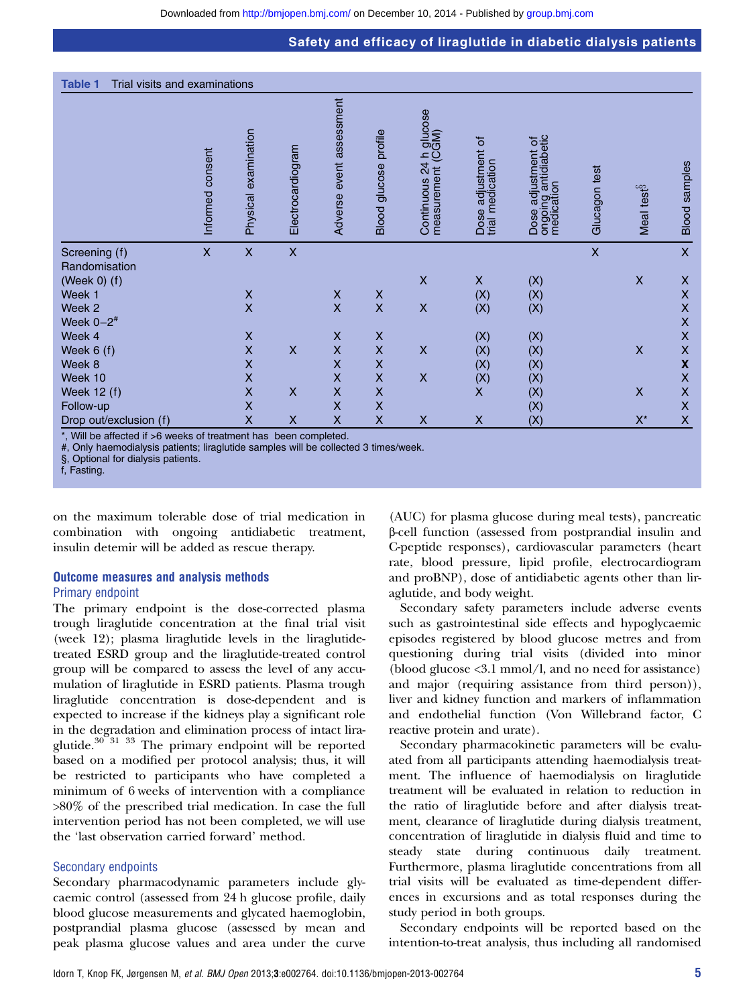| Trial visits and examinations<br><b>Table 1</b> |                    |                         |                   |                             |                                 |                                              |                                                       |                                                                       |                           |                        |                                               |
|-------------------------------------------------|--------------------|-------------------------|-------------------|-----------------------------|---------------------------------|----------------------------------------------|-------------------------------------------------------|-----------------------------------------------------------------------|---------------------------|------------------------|-----------------------------------------------|
|                                                 | Informed consent   | Physical examination    | Electrocardiogram | event assessment<br>Adverse | profile<br><b>Blood glucose</b> | Continuous 24 h glucose<br>measurement (CGM) | ৳<br>adjustment<br>Dose adjustmer<br>trial medication | adjustment of<br>ng antidiabetic<br>ongoing ant<br>medication<br>Dose | Glucagon test             | Meal test <sup>§</sup> | <b>Blood</b> samples                          |
| Screening (f)                                   | $\pmb{\mathsf{X}}$ | $\pmb{\mathsf{X}}$      | $\mathsf{X}$      |                             |                                 |                                              |                                                       |                                                                       | $\boldsymbol{\mathsf{X}}$ |                        | $\pmb{\times}$                                |
| Randomisation                                   |                    |                         |                   |                             |                                 |                                              |                                                       |                                                                       |                           |                        |                                               |
| (Week $0)$ (f)<br>Week 1                        |                    | $\pmb{\mathsf{X}}$      |                   | $\pmb{\mathsf{X}}$          | $\pmb{\mathsf{X}}$              | $\mathsf{X}$                                 | X<br>(X)                                              | (X)<br>(X)                                                            |                           | $\pmb{\mathsf{X}}$     | $\pmb{\mathsf{X}}$<br>$\mathsf{\overline{X}}$ |
| Week 2                                          |                    | $\mathsf{\overline{X}}$ |                   | $\overline{\mathsf{X}}$     | $\pmb{\mathsf{X}}$              | $\boldsymbol{\mathsf{X}}$                    | (X)                                                   | (X)                                                                   |                           |                        | X                                             |
| Week $0-2$ <sup>#</sup>                         |                    |                         |                   |                             |                                 |                                              |                                                       |                                                                       |                           |                        | $\mathsf{X}$                                  |
| Week 4                                          |                    | X                       |                   | X                           | X                               |                                              | (X)                                                   | (X)                                                                   |                           |                        | $\mathsf{X}$                                  |
| Week $6(1)$                                     |                    | X                       | X                 | $\pmb{\mathsf{X}}$          | $\pmb{\mathsf{X}}$              | $\overline{\mathsf{X}}$                      | (X)                                                   | (X)                                                                   |                           | X                      | X                                             |
| Week 8                                          |                    | X                       |                   | X                           | X                               |                                              | (X)                                                   | (X)                                                                   |                           |                        | $\boldsymbol{\mathsf{X}}$                     |
| Week 10                                         |                    | X                       |                   | $\pmb{\mathsf{X}}$          | $\pmb{\mathsf{X}}$              | $\boldsymbol{\mathsf{X}}$                    | (X)                                                   | (X)                                                                   |                           |                        | X                                             |
| Week 12 (f)                                     |                    | X                       | $\mathsf{X}$      | $\pmb{\mathsf{X}}$          | $\pmb{\mathsf{X}}$              |                                              | $\pmb{\mathsf{X}}$                                    | (X)                                                                   |                           | X                      | $\mathsf{\overline{X}}$                       |
| Follow-up                                       |                    | X                       |                   | $\mathsf{X}$                | $\pmb{\mathsf{X}}$              |                                              |                                                       | (X)                                                                   |                           |                        | $\mathsf{\chi}$                               |
| Drop out/exclusion (f)                          |                    | $\overline{\mathsf{X}}$ | $\mathsf{X}$      | X                           | $\overline{\mathsf{X}}$         | $\boldsymbol{\mathsf{X}}$                    | $\overline{\mathsf{X}}$                               | (X)                                                                   |                           | $X^*$                  | $\overline{\mathsf{X}}$                       |

\*, Will be affected if >6 weeks of treatment has been completed.

#, Only haemodialysis patients; liraglutide samples will be collected 3 times/week.

§, Optional for dialysis patients.

f, Fasting.

on the maximum tolerable dose of trial medication in combination with ongoing antidiabetic treatment, insulin detemir will be added as rescue therapy.

### Outcome measures and analysis methods Primary endpoint

The primary endpoint is the dose-corrected plasma trough liraglutide concentration at the final trial visit (week 12); plasma liraglutide levels in the liraglutidetreated ESRD group and the liraglutide-treated control group will be compared to assess the level of any accumulation of liraglutide in ESRD patients. Plasma trough liraglutide concentration is dose-dependent and is expected to increase if the kidneys play a significant role in the degradation and elimination process of intact liraglutide. $30^{30}$  31 33 The primary endpoint will be reported based on a modified per protocol analysis; thus, it will be restricted to participants who have completed a minimum of 6 weeks of intervention with a compliance >80% of the prescribed trial medication. In case the full intervention period has not been completed, we will use the 'last observation carried forward' method.

### Secondary endpoints

Secondary pharmacodynamic parameters include glycaemic control (assessed from 24 h glucose profile, daily blood glucose measurements and glycated haemoglobin, postprandial plasma glucose (assessed by mean and peak plasma glucose values and area under the curve

(AUC) for plasma glucose during meal tests), pancreatic β-cell function (assessed from postprandial insulin and C-peptide responses), cardiovascular parameters (heart rate, blood pressure, lipid profile, electrocardiogram and proBNP), dose of antidiabetic agents other than liraglutide, and body weight.

Secondary safety parameters include adverse events such as gastrointestinal side effects and hypoglycaemic episodes registered by blood glucose metres and from questioning during trial visits (divided into minor (blood glucose <3.1 mmol/l, and no need for assistance) and major (requiring assistance from third person)), liver and kidney function and markers of inflammation and endothelial function (Von Willebrand factor, C reactive protein and urate).

Secondary pharmacokinetic parameters will be evaluated from all participants attending haemodialysis treatment. The influence of haemodialysis on liraglutide treatment will be evaluated in relation to reduction in the ratio of liraglutide before and after dialysis treatment, clearance of liraglutide during dialysis treatment, concentration of liraglutide in dialysis fluid and time to steady state during continuous daily treatment. Furthermore, plasma liraglutide concentrations from all trial visits will be evaluated as time-dependent differences in excursions and as total responses during the study period in both groups.

Secondary endpoints will be reported based on the intention-to-treat analysis, thus including all randomised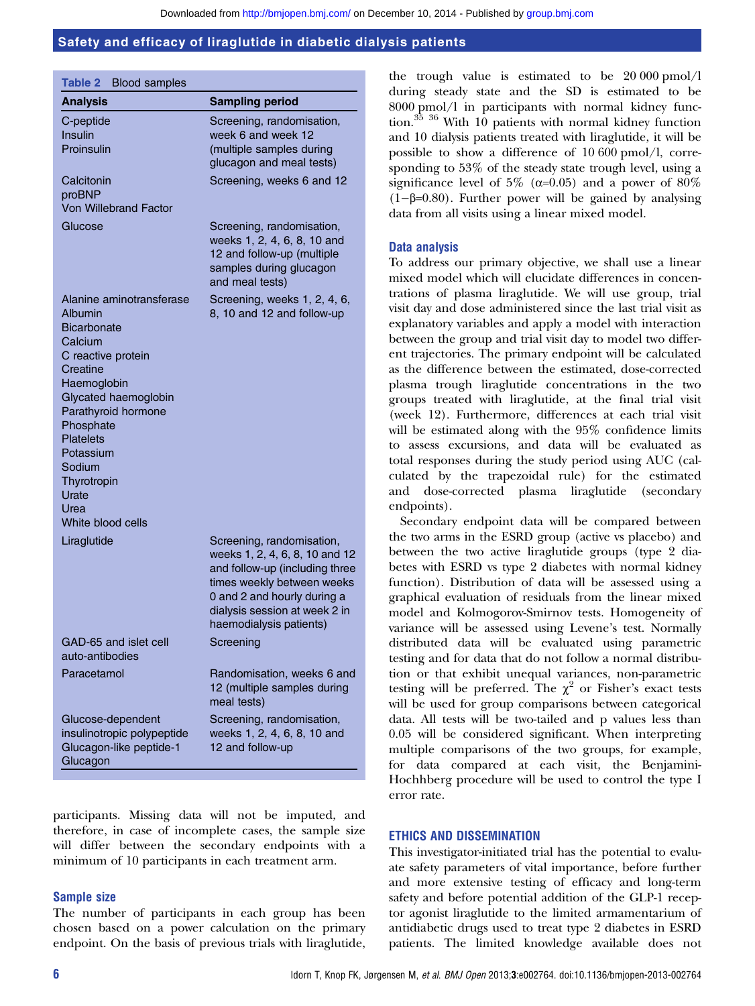| <b>Blood samples</b><br><b>Table 2</b>                                                                                                                                                                                                                                     |                                                                                                                                                                                                                        |
|----------------------------------------------------------------------------------------------------------------------------------------------------------------------------------------------------------------------------------------------------------------------------|------------------------------------------------------------------------------------------------------------------------------------------------------------------------------------------------------------------------|
| <b>Analysis</b>                                                                                                                                                                                                                                                            | <b>Sampling period</b>                                                                                                                                                                                                 |
| C-peptide<br>Insulin<br>Proinsulin                                                                                                                                                                                                                                         | Screening, randomisation,<br>week 6 and week 12<br>(multiple samples during<br>glucagon and meal tests)                                                                                                                |
| Calcitonin<br>proBNP<br><b>Von Willebrand Factor</b>                                                                                                                                                                                                                       | Screening, weeks 6 and 12                                                                                                                                                                                              |
| Glucose                                                                                                                                                                                                                                                                    | Screening, randomisation,<br>weeks 1, 2, 4, 6, 8, 10 and<br>12 and follow-up (multiple<br>samples during glucagon<br>and meal tests)                                                                                   |
| Alanine aminotransferase<br>Albumin<br>Bicarbonate<br>Calcium<br>C reactive protein<br>Creatine<br>Haemoglobin<br>Glycated haemoglobin<br>Parathyroid hormone<br>Phosphate<br><b>Platelets</b><br>Potassium<br>Sodium<br>Thyrotropin<br>Urate<br>Urea<br>White blood cells | Screening, weeks 1, 2, 4, 6,<br>8, 10 and 12 and follow-up                                                                                                                                                             |
| Liraglutide                                                                                                                                                                                                                                                                | Screening, randomisation,<br>weeks 1, 2, 4, 6, 8, 10 and 12<br>and follow-up (including three<br>times weekly between weeks<br>0 and 2 and hourly during a<br>dialysis session at week 2 in<br>haemodialysis patients) |
| GAD-65 and islet cell<br>auto-antibodies                                                                                                                                                                                                                                   | Screening                                                                                                                                                                                                              |
| Paracetamol                                                                                                                                                                                                                                                                | Randomisation, weeks 6 and<br>12 (multiple samples during<br>meal tests)                                                                                                                                               |
| Glucose-dependent<br>insulinotropic polypeptide<br>Glucagon-like peptide-1<br>Glucagon                                                                                                                                                                                     | Screening, randomisation,<br>weeks 1, 2, 4, 6, 8, 10 and<br>12 and follow-up                                                                                                                                           |

participants. Missing data will not be imputed, and therefore, in case of incomplete cases, the sample size will differ between the secondary endpoints with a minimum of 10 participants in each treatment arm.

### Sample size

The number of participants in each group has been chosen based on a power calculation on the primary endpoint. On the basis of previous trials with liraglutide,

the trough value is estimated to be 20 000 pmol/l during steady state and the SD is estimated to be 8000 pmol/l in participants with normal kidney function.35 36 With 10 patients with normal kidney function and 10 dialysis patients treated with liraglutide, it will be possible to show a difference of 10 600 pmol/l, corresponding to 53% of the steady state trough level, using a significance level of 5% ( $\alpha$ =0.05) and a power of 80% (1−β=0.80). Further power will be gained by analysing data from all visits using a linear mixed model.

### Data analysis

To address our primary objective, we shall use a linear mixed model which will elucidate differences in concentrations of plasma liraglutide. We will use group, trial visit day and dose administered since the last trial visit as explanatory variables and apply a model with interaction between the group and trial visit day to model two different trajectories. The primary endpoint will be calculated as the difference between the estimated, dose-corrected plasma trough liraglutide concentrations in the two groups treated with liraglutide, at the final trial visit (week 12). Furthermore, differences at each trial visit will be estimated along with the 95% confidence limits to assess excursions, and data will be evaluated as total responses during the study period using AUC (calculated by the trapezoidal rule) for the estimated and dose-corrected plasma liraglutide (secondary endpoints).

Secondary endpoint data will be compared between the two arms in the ESRD group (active vs placebo) and between the two active liraglutide groups (type 2 diabetes with ESRD vs type 2 diabetes with normal kidney function). Distribution of data will be assessed using a graphical evaluation of residuals from the linear mixed model and Kolmogorov-Smirnov tests. Homogeneity of variance will be assessed using Levene's test. Normally distributed data will be evaluated using parametric testing and for data that do not follow a normal distribution or that exhibit unequal variances, non-parametric testing will be preferred. The  $\chi^2$  or Fisher's exact tests will be used for group comparisons between categorical data. All tests will be two-tailed and p values less than 0.05 will be considered significant. When interpreting multiple comparisons of the two groups, for example, for data compared at each visit, the Benjamini-Hochhberg procedure will be used to control the type I error rate.

### ETHICS AND DISSEMINATION

This investigator-initiated trial has the potential to evaluate safety parameters of vital importance, before further and more extensive testing of efficacy and long-term safety and before potential addition of the GLP-1 receptor agonist liraglutide to the limited armamentarium of antidiabetic drugs used to treat type 2 diabetes in ESRD patients. The limited knowledge available does not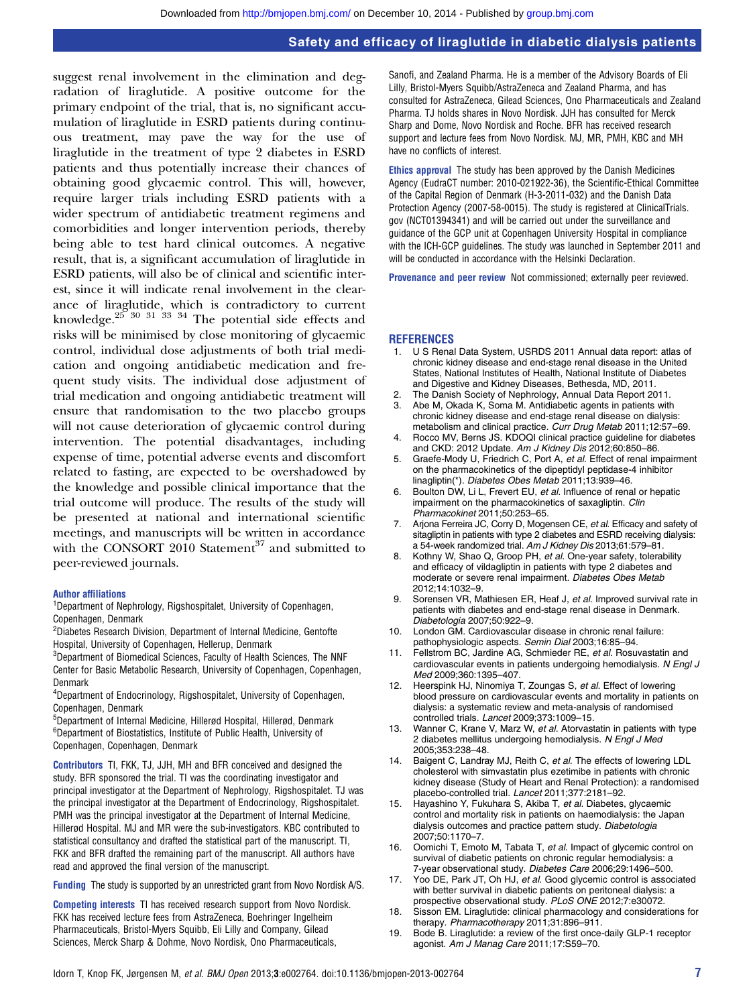suggest renal involvement in the elimination and degradation of liraglutide. A positive outcome for the primary endpoint of the trial, that is, no significant accumulation of liraglutide in ESRD patients during continuous treatment, may pave the way for the use of liraglutide in the treatment of type 2 diabetes in ESRD patients and thus potentially increase their chances of obtaining good glycaemic control. This will, however, require larger trials including ESRD patients with a wider spectrum of antidiabetic treatment regimens and comorbidities and longer intervention periods, thereby being able to test hard clinical outcomes. A negative result, that is, a significant accumulation of liraglutide in ESRD patients, will also be of clinical and scientific interest, since it will indicate renal involvement in the clearance of liraglutide, which is contradictory to current knowledge.<sup>25 30 31 33 34</sup> The potential side effects and risks will be minimised by close monitoring of glycaemic control, individual dose adjustments of both trial medication and ongoing antidiabetic medication and frequent study visits. The individual dose adjustment of trial medication and ongoing antidiabetic treatment will ensure that randomisation to the two placebo groups will not cause deterioration of glycaemic control during intervention. The potential disadvantages, including expense of time, potential adverse events and discomfort related to fasting, are expected to be overshadowed by the knowledge and possible clinical importance that the trial outcome will produce. The results of the study will be presented at national and international scientific meetings, and manuscripts will be written in accordance with the CONSORT 2010 Statement<sup>37</sup> and submitted to peer-reviewed journals.

#### Author affiliations

<sup>1</sup>Department of Nephrology, Rigshospitalet, University of Copenhagen, Copenhagen, Denmark

<sup>2</sup>Diabetes Research Division, Department of Internal Medicine, Gentofte Hospital, University of Copenhagen, Hellerup, Denmark

 ${}^{3}$ Department of Biomedical Sciences, Faculty of Health Sciences, The NNF Center for Basic Metabolic Research, University of Copenhagen, Copenhagen, Denmark

4 Department of Endocrinology, Rigshospitalet, University of Copenhagen, Copenhagen, Denmark

5 Department of Internal Medicine, Hillerød Hospital, Hillerød, Denmark 6 Department of Biostatistics, Institute of Public Health, University of Copenhagen, Copenhagen, Denmark

Contributors TI, FKK, TJ, JJH, MH and BFR conceived and designed the study. BFR sponsored the trial. TI was the coordinating investigator and principal investigator at the Department of Nephrology, Rigshospitalet. TJ was the principal investigator at the Department of Endocrinology, Rigshospitalet. PMH was the principal investigator at the Department of Internal Medicine, Hillerød Hospital. MJ and MR were the sub-investigators. KBC contributed to statistical consultancy and drafted the statistical part of the manuscript. TI, FKK and BFR drafted the remaining part of the manuscript. All authors have read and approved the final version of the manuscript.

Funding The study is supported by an unrestricted grant from Novo Nordisk A/S.

Competing interests TI has received research support from Novo Nordisk. FKK has received lecture fees from AstraZeneca, Boehringer Ingelheim Pharmaceuticals, Bristol-Myers Squibb, Eli Lilly and Company, Gilead Sciences, Merck Sharp & Dohme, Novo Nordisk, Ono Pharmaceuticals,

Sanofi, and Zealand Pharma. He is a member of the Advisory Boards of Eli Lilly, Bristol-Myers Squibb/AstraZeneca and Zealand Pharma, and has consulted for AstraZeneca, Gilead Sciences, Ono Pharmaceuticals and Zealand Pharma. TJ holds shares in Novo Nordisk. JJH has consulted for Merck Sharp and Dome, Novo Nordisk and Roche. BFR has received research support and lecture fees from Novo Nordisk. MJ, MR, PMH, KBC and MH have no conflicts of interest.

Ethics approval The study has been approved by the Danish Medicines Agency (EudraCT number: 2010-021922-36), the Scientific-Ethical Committee of the Capital Region of Denmark (H-3-2011-032) and the Danish Data Protection Agency (2007-58-0015). The study is registered at ClinicalTrials. gov (NCT01394341) and will be carried out under the surveillance and guidance of the GCP unit at Copenhagen University Hospital in compliance with the ICH-GCP guidelines. The study was launched in September 2011 and will be conducted in accordance with the Helsinki Declaration.

Provenance and peer review Not commissioned; externally peer reviewed.

### **REFERENCES**

- 1. U S Renal Data System, USRDS 2011 Annual data report: atlas of chronic kidney disease and end-stage renal disease in the United States, National Institutes of Health, National Institute of Diabetes and Digestive and Kidney Diseases, Bethesda, MD, 2011.
- 2. The Danish Society of Nephrology, Annual Data Report 2011. 3. Abe M, Okada K, Soma M. Antidiabetic agents in patients with chronic kidney disease and end-stage renal disease on dialysis:
- metabolism and clinical practice. Curr Drug Metab 2011;12:57–69. 4. Rocco MV, Berns JS. KDOQI clinical practice guideline for diabetes
- and CKD: 2012 Update. Am J Kidney Dis 2012;60:850–86. 5. Graefe-Mody U, Friedrich C, Port A, et al. Effect of renal impairment on the pharmacokinetics of the dipeptidyl peptidase-4 inhibitor linagliptin(\*). Diabetes Obes Metab 2011;13:939–46.
- 6. Boulton DW, Li L, Frevert EU, et al. Influence of renal or hepatic impairment on the pharmacokinetics of saxagliptin. Clin Pharmacokinet 2011;50:253–65.
- 7. Arjona Ferreira JC, Corry D, Mogensen CE, et al. Efficacy and safety of sitagliptin in patients with type 2 diabetes and ESRD receiving dialysis: a 54-week randomized trial. Am J Kidney Dis 2013;61:579–81.
- 8. Kothny W, Shao Q, Groop PH, et al. One-year safety, tolerability and efficacy of vildagliptin in patients with type 2 diabetes and moderate or severe renal impairment. Diabetes Obes Metab 2012;14:1032–9.
- 9. Sorensen VR, Mathiesen ER, Heaf J, et al. Improved survival rate in patients with diabetes and end-stage renal disease in Denmark. Diabetologia 2007;50:922–9.
- 10. London GM. Cardiovascular disease in chronic renal failure: pathophysiologic aspects. Semin Dial 2003;16:85–94.
- 11. Fellstrom BC, Jardine AG, Schmieder RE, et al. Rosuvastatin and cardiovascular events in patients undergoing hemodialysis. N Engl J Med 2009;360:1395–407.
- 12. Heerspink HJ, Ninomiya T, Zoungas S, et al. Effect of lowering blood pressure on cardiovascular events and mortality in patients on dialysis: a systematic review and meta-analysis of randomised controlled trials. Lancet 2009;373:1009–15.
- 13. Wanner C, Krane V, Marz W, et al. Atorvastatin in patients with type 2 diabetes mellitus undergoing hemodialysis. N Engl J Med 2005;353:238–48.
- 14. Baigent C, Landray MJ, Reith C, et al. The effects of lowering LDL cholesterol with simvastatin plus ezetimibe in patients with chronic kidney disease (Study of Heart and Renal Protection): a randomised placebo-controlled trial. Lancet 2011;377:2181–92.
- 15. Hayashino Y, Fukuhara S, Akiba T, et al. Diabetes, glycaemic control and mortality risk in patients on haemodialysis: the Japan dialysis outcomes and practice pattern study. Diabetologia 2007;50:1170–7.
- 16. Oomichi T, Emoto M, Tabata T, et al. Impact of glycemic control on survival of diabetic patients on chronic regular hemodialysis: a 7-year observational study. Diabetes Care 2006;29:1496–500.
- 17. Yoo DE, Park JT, Oh HJ, et al. Good glycemic control is associated with better survival in diabetic patients on peritoneal dialysis: a prospective observational study. PLoS ONE 2012;7:e30072.
- 18. Sisson EM. Liraglutide: clinical pharmacology and considerations for therapy. Pharmacotherapy 2011;31:896–911.
- 19. Bode B. Liraglutide: a review of the first once-daily GLP-1 receptor agonist. Am J Manag Care 2011;17:S59–70.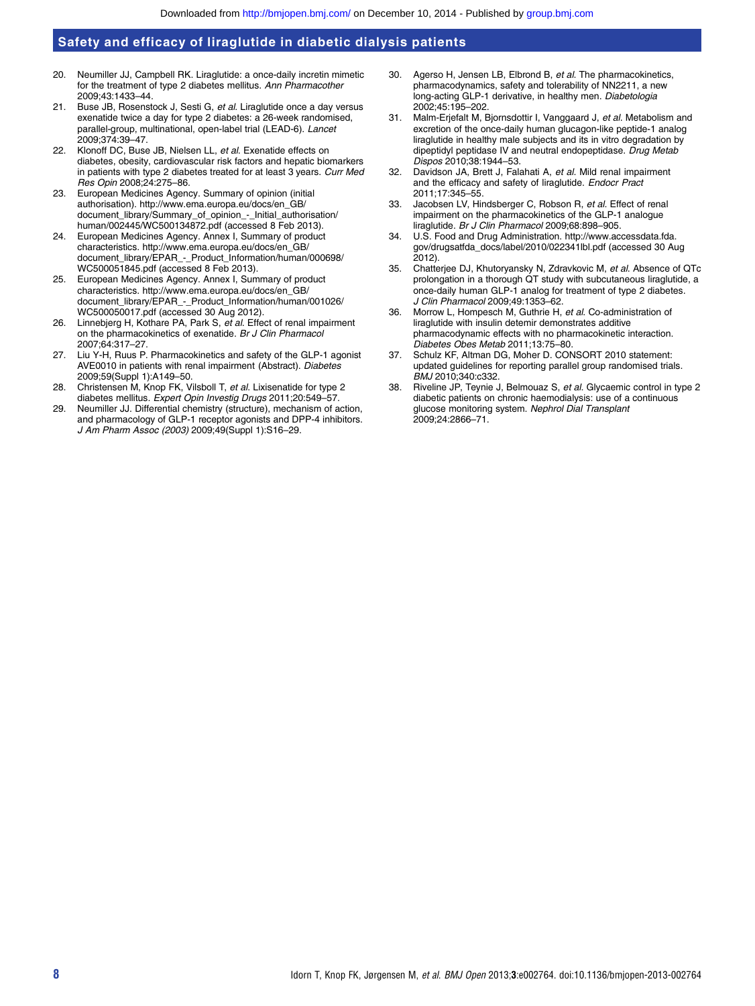- 20. Neumiller JJ, Campbell RK, Liraglutide: a once-daily incretin mimetic for the treatment of type 2 diabetes mellitus. Ann Pharmacother 2009;43:1433–44.
- 21. Buse JB, Rosenstock J, Sesti G, et al. Liraglutide once a day versus exenatide twice a day for type 2 diabetes: a 26-week randomised, parallel-group, multinational, open-label trial (LEAD-6). Lancet 2009;374:39–47.
- 22. Klonoff DC, Buse JB, Nielsen LL, et al. Exenatide effects on diabetes, obesity, cardiovascular risk factors and hepatic biomarkers in patients with type 2 diabetes treated for at least 3 years. Curr Med Res Opin 2008;24:275–86.
- 23. European Medicines Agency. Summary of opinion (initial authorisation). [http://www.ema.europa.eu/docs/en\\_GB/](http://www.ema.europa.eu/docs/en_GB/document_library/Summary_of_opinion_-_Initial_authorisation/human/002445/WC500134872.pdf) [document\\_library/Summary\\_of\\_opinion\\_-\\_Initial\\_authorisation/](http://www.ema.europa.eu/docs/en_GB/document_library/Summary_of_opinion_-_Initial_authorisation/human/002445/WC500134872.pdf) [human/002445/WC500134872.pdf](http://www.ema.europa.eu/docs/en_GB/document_library/Summary_of_opinion_-_Initial_authorisation/human/002445/WC500134872.pdf) (accessed 8 Feb 2013).
- 24. European Medicines Agency. Annex I, Summary of product characteristics. [http://www.ema.europa.eu/docs/en\\_GB/](http://www.ema.europa.eu/docs/en_GB/document_library/EPAR_-_Product_Information/human/000698/WC500051845.pdf) [document\\_library/EPAR\\_-\\_Product\\_Information/human/000698/](http://www.ema.europa.eu/docs/en_GB/document_library/EPAR_-_Product_Information/human/000698/WC500051845.pdf) [WC500051845.pdf](http://www.ema.europa.eu/docs/en_GB/document_library/EPAR_-_Product_Information/human/000698/WC500051845.pdf) (accessed 8 Feb 2013).
- 25. European Medicines Agency. Annex I, Summary of product characteristics. [http://www.ema.europa.eu/docs/en\\_GB/](http://www.ema.europa.eu/docs/en_GB/document_library/EPAR_-_Product_Information/human/001026/WC500050017.pdf) [document\\_library/EPAR\\_-\\_Product\\_Information/human/001026/](http://www.ema.europa.eu/docs/en_GB/document_library/EPAR_-_Product_Information/human/001026/WC500050017.pdf) [WC500050017.pdf](http://www.ema.europa.eu/docs/en_GB/document_library/EPAR_-_Product_Information/human/001026/WC500050017.pdf) (accessed 30 Aug 2012).
- 26. Linnebjerg H, Kothare PA, Park S, et al. Effect of renal impairment on the pharmacokinetics of exenatide. Br J Clin Pharmacol 2007;64:317–27.
- 27. Liu Y-H, Ruus P. Pharmacokinetics and safety of the GLP-1 agonist AVE0010 in patients with renal impairment (Abstract). Diabetes 2009;59(Suppl 1):A149–50.
- 28. Christensen M, Knop FK, Vilsboll T, et al. Lixisenatide for type 2 diabetes mellitus. Expert Opin Investig Drugs 2011;20:549–57.
- 29. Neumiller JJ. Differential chemistry (structure), mechanism of action, and pharmacology of GLP-1 receptor agonists and DPP-4 inhibitors. J Am Pharm Assoc (2003) 2009;49(Suppl 1):S16–29.
- 30. Agerso H, Jensen LB, Elbrond B, et al. The pharmacokinetics, pharmacodynamics, safety and tolerability of NN2211, a new long-acting GLP-1 derivative, in healthy men. Diabetologia 2002;45:195–202.
- 31. Malm-Erjefalt M, Bjornsdottir I, Vanggaard J, et al. Metabolism and excretion of the once-daily human glucagon-like peptide-1 analog liraglutide in healthy male subjects and its in vitro degradation by dipeptidyl peptidase IV and neutral endopeptidase. Drug Metab Dispos 2010;38:1944–53.
- 32. Davidson JA, Brett J, Falahati A, et al. Mild renal impairment and the efficacy and safety of liraglutide. Endocr Pract 2011;17:345–55.
- 33. Jacobsen LV, Hindsberger C, Robson R, et al. Effect of renal impairment on the pharmacokinetics of the GLP-1 analogue liraglutide. Br J Clin Pharmacol 2009;68:898–905.
- 34. U.S. Food and Drug Administration. [http://www.accessdata.fda.](http://www.accessdata.fda.gov/drugsatfda_docs/label/2010/022341lbl.pdf) [gov/drugsatfda\\_docs/label/2010/022341lbl.pdf](http://www.accessdata.fda.gov/drugsatfda_docs/label/2010/022341lbl.pdf) (accessed 30 Aug 2012).
- 35. Chatterjee DJ, Khutoryansky N, Zdravkovic M, et al. Absence of QTc prolongation in a thorough QT study with subcutaneous liraglutide, a once-daily human GLP-1 analog for treatment of type 2 diabetes. J Clin Pharmacol 2009;49:1353–62.
- 36. Morrow L, Hompesch M, Guthrie H, et al. Co-administration of liraglutide with insulin detemir demonstrates additive pharmacodynamic effects with no pharmacokinetic interaction. Diabetes Obes Metab 2011;13:75–80.
- Schulz KF, Altman DG, Moher D. CONSORT 2010 statement: updated guidelines for reporting parallel group randomised trials. BMJ 2010;340:c332.
- 38. Riveline JP, Teynie J, Belmouaz S, et al. Glycaemic control in type 2 diabetic patients on chronic haemodialysis: use of a continuous glucose monitoring system. Nephrol Dial Transplant 2009;24:2866–71.